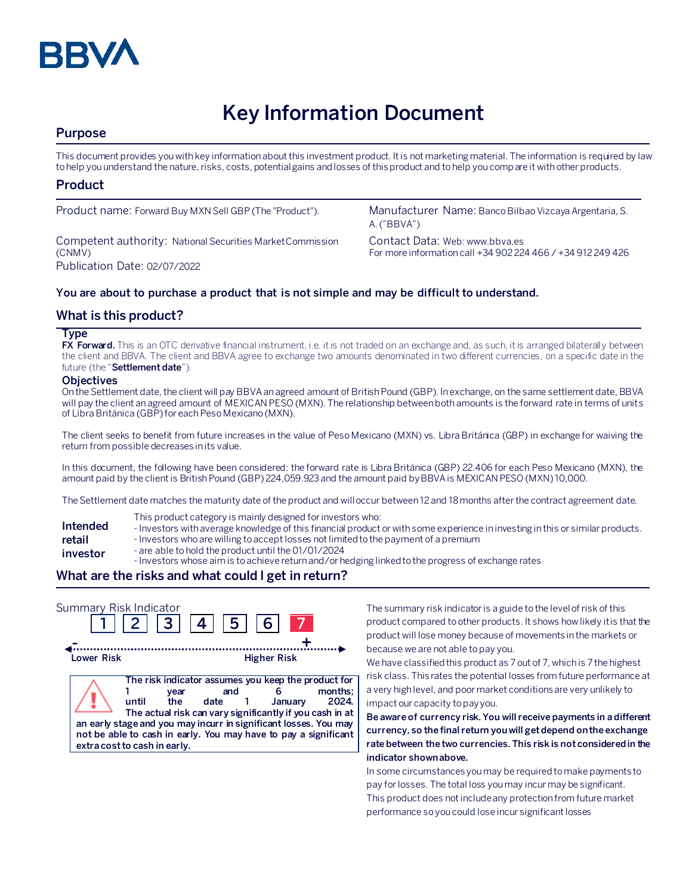

# **Key Information Document**

# **Purpose**

This document provides you with key information about this investment product. It is not marketing material. The information is required by law to help you understand the nature, risks, costs, potential gains and losses of this product and to help you compare it with other products.

## **Product**

Competent authority: National Securities Market Commission (CNMV) Publication Date: 02/07/2022

Product name: Forward Buy MXN Sell GBP (The "Product"). Manufacturer Name: Banco Bilbao Vizcaya Argentaria, S. A. ("BBVA")

> Contact Data: Web: www.bbva.es For more information call +34 902 224 466 / +34 912 249 426

## **You are about to purchase a product that is not simple and may be difficult to understand.**

# **What is this product?**

#### **Type**

**FX Forward.** This is an OTC derivative financial instrument, i.e. it is not traded on an exchange and, as such, it is arranged bilaterally between the client and BBVA. The client and BBVA agree to exchange two amounts denominated in two different currencies, on a specific date in the future (the "**Settlement date**").

#### **Objectives**

On the Settlement date, the client will pay BBVA an agreed amount of British Pound (GBP). In exchange, on the same settlement date, BBVA will pay the client an agreed amount of MEXICAN PESO (MXN). The relationship between both amounts is the forward rate in terms of units of Libra Británica (GBP) for each Peso Mexicano (MXN).

The client seeks to benefit from future increases in the value of Peso Mexicano (MXN) vs. Libra Británica (GBP) in exchange for waiving the return from possible decreases in its value.

In this document, the following have been considered: the forward rate is Libra Británica (GBP) 22.406 for each Peso Mexicano (MXN), the amount paid by the client is British Pound (GBP) 224,059.923 and the amount paid by BBVA is MEXICAN PESO (MXN) 10,000.

The Settlement date matches the maturity date of the product and will occur between 12 and 18 months after the contract agreement date.

- This product category is mainly designed for investors who:
- **Intended**  - Investors with average knowledge of this financial product or with some experience in investing in this or similar products.
- **retail**  - Investors who are willing to accept losses not limited to the payment of a premium
- **investor** - are able to hold the product until the 01/01/2024
	- Investors whose aim is to achieve return and/or hedging linked to the progress of exchange rates

# **What are the risks and what could I get in return?**

| Summary Risk Indicator |                                                                                                                                                                                             | 2  3  4  5  6                                                                                                                    |                    |                 |
|------------------------|---------------------------------------------------------------------------------------------------------------------------------------------------------------------------------------------|----------------------------------------------------------------------------------------------------------------------------------|--------------------|-----------------|
| Lower Risk             |                                                                                                                                                                                             |                                                                                                                                  | <b>Higher Risk</b> |                 |
|                        | vear<br>until<br>the<br>an early stage and you may incurr in significant losses. You may<br>not be able to cash in early. You may have to pay a significant<br>extra cost to cash in early. | The risk indicator assumes you keep the product for<br>and<br>date 1<br>The actual risk can vary significantly if you cash in at | January            | months:<br>2024 |

The summary risk indicator is a guide to the level of risk of this product compared to other products. It shows how likely it is that the product will lose money because of movements in the markets or because we are not able to pay you.

We have classified this product as 7 out of 7, which is 7 the highest risk class. This rates the potential losses from future performance at a very high level, and poor market conditions are very unlikely to impact our capacity to pay you.

**Be aware of currency risk. You will receive payments in a different currency, so the final return you will get depend on the exchange rate between the two currencies. This risk is not considered in the indicator shown above.**

In some circumstances you may be required to make payments to pay for losses. The total loss you may incur may be significant. This product does not include any protection from future market performance so you could lose incur significant losses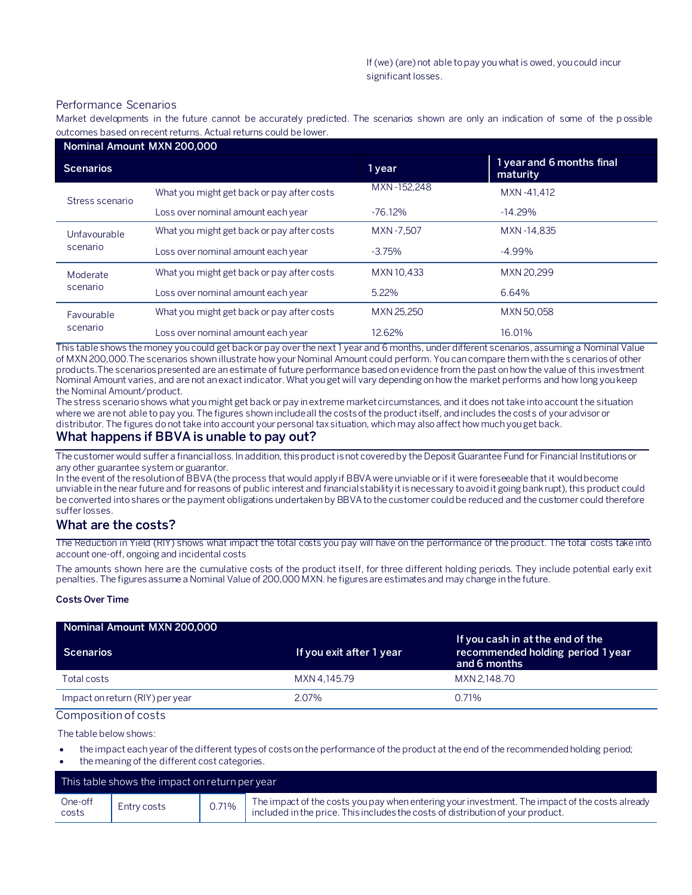#### Performance Scenarios

Market developments in the future cannot be accurately predicted. The scenarios shown are only an indication of some of the p ossible outcomes based on recent returns. Actual returns could be lower.

| Nominal Amount MXN 200,000 |                                            |             |                                       |
|----------------------------|--------------------------------------------|-------------|---------------------------------------|
| <b>Scenarios</b>           |                                            | 1 year      | 1 year and 6 months final<br>maturity |
| Stress scenario            | What you might get back or pay after costs | MXN-152.248 | MXN-41.412                            |
|                            | Loss over nominal amount each year         | $-76.12\%$  | $-14.29\%$                            |
| Unfavourable<br>scenario   | What you might get back or pay after costs | MXN-7.507   | MXN-14.835                            |
|                            | Loss over nominal amount each year         | $-3.75%$    | $-4.99\%$                             |
| Moderate<br>scenario       | What you might get back or pay after costs | MXN 10,433  | MXN 20.299                            |
|                            | Loss over nominal amount each year         | 5.22%       | 6.64%                                 |
| Favourable<br>scenario     | What you might get back or pay after costs | MXN 25.250  | MXN 50.058                            |
|                            | Loss over nominal amount each year         | 12.62%      | 16.01%                                |

This table shows the money you could get back or pay over the next 1 year and 6 months, under different scenarios, assuming a Nominal Value of MXN 200,000.The scenarios shown illustrate how your Nominal Amount could perform. You can compare them with the s cenarios of other products.The scenarios presented are an estimate of future performance based on evidence from the past on how the value of this investment Nominal Amount varies, and are not an exact indicator. What you get will vary depending on how the market performs and how long you keep the Nominal Amount/product.

The stress scenario shows what you might get back or pay in extreme market circumstances, and it does not take into account the situation where we are not able to pay you. The figures shown include all the costs of the product itself, and includes the costs of your advisor or distributor. The figures do not take into account your personal tax situation, which may also affect how much you get back.

## **What happens if BBVA is unable to pay out?**

The customer would suffer a financial loss. In addition, this product is not covered by the Deposit Guarantee Fund for Financial Institutions or any other guarantee system or guarantor.

In the event of the resolution of BBVA (the process that would apply if BBVA were unviable or if it were foreseeable that it would become unviable in the near future and for reasons of public interest and financial stability it is necessary to avoid it going bankrupt), this product could be converted into shares or the payment obligations undertaken by BBVA to the customer could be reduced and the customer could therefore suffer losses.

#### **What are the costs?**

The Reduction in Yield (RIY) shows what impact the total costs you pay will have on the performance of the product. The total costs take into account one-off, ongoing and incidental costs

The amounts shown here are the cumulative costs of the product itself, for three different holding periods. They include potential early exit penalties. The figures assume a Nominal Value of 200,000 MXN. he figures are estimates and may change in the future.

#### **Costs Over Time**

| Nominal Amount MXN 200,000      |                          |                                                                                       |
|---------------------------------|--------------------------|---------------------------------------------------------------------------------------|
| <b>Scenarios</b>                | If you exit after 1 year | If you cash in at the end of the<br>recommended holding period 1 year<br>and 6 months |
| Total costs                     | MXN 4.145.79             | MXN 2.148.70                                                                          |
| Impact on return (RIY) per year | $2.07\%$                 | $0.71\%$                                                                              |

Composition of costs

The table below shows:

- the impact each year of the different types of costs on the performance of the product at the end of the recommended holding period;
- the meaning of the different cost categories.

| This table shows the impact on return per year |             |       |                                                                                                                                                                                   |
|------------------------------------------------|-------------|-------|-----------------------------------------------------------------------------------------------------------------------------------------------------------------------------------|
| One-off<br>costs                               | Entry costs | 0.71% | The impact of the costs you pay when entering your investment. The impact of the costs already<br>included in the price. This includes the costs of distribution of your product. |